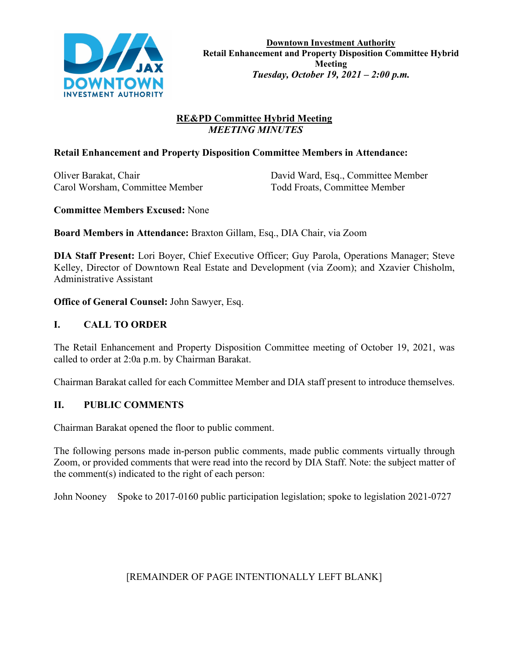

# **RE&PD Committee Hybrid Meeting**  *MEETING MINUTES*

# **Retail Enhancement and Property Disposition Committee Members in Attendance:**

Carol Worsham, Committee Member Todd Froats, Committee Member

Oliver Barakat, Chair David Ward, Esq., Committee Member

**Committee Members Excused:** None

**Board Members in Attendance:** Braxton Gillam, Esq., DIA Chair, via Zoom

**DIA Staff Present:** Lori Boyer, Chief Executive Officer; Guy Parola, Operations Manager; Steve Kelley, Director of Downtown Real Estate and Development (via Zoom); and Xzavier Chisholm, Administrative Assistant

**Office of General Counsel:** John Sawyer, Esq.

# **I. CALL TO ORDER**

The Retail Enhancement and Property Disposition Committee meeting of October 19, 2021, was called to order at 2:0a p.m. by Chairman Barakat.

Chairman Barakat called for each Committee Member and DIA staff present to introduce themselves.

# **II. PUBLIC COMMENTS**

Chairman Barakat opened the floor to public comment.

The following persons made in-person public comments, made public comments virtually through Zoom, or provided comments that were read into the record by DIA Staff. Note: the subject matter of the comment(s) indicated to the right of each person:

John Nooney Spoke to 2017-0160 public participation legislation; spoke to legislation 2021-0727

# [REMAINDER OF PAGE INTENTIONALLY LEFT BLANK]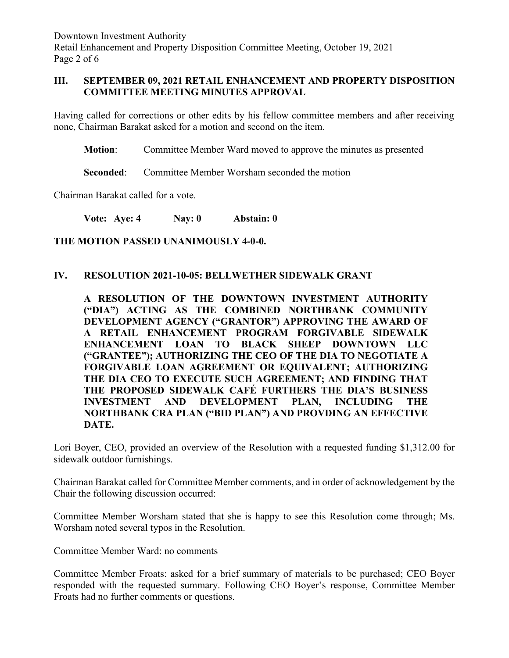Downtown Investment Authority Retail Enhancement and Property Disposition Committee Meeting, October 19, 2021 Page 2 of 6

### **III. SEPTEMBER 09, 2021 RETAIL ENHANCEMENT AND PROPERTY DISPOSITION COMMITTEE MEETING MINUTES APPROVAL**

Having called for corrections or other edits by his fellow committee members and after receiving none, Chairman Barakat asked for a motion and second on the item.

**Motion**: Committee Member Ward moved to approve the minutes as presented

**Seconded:** Committee Member Worsham seconded the motion

Chairman Barakat called for a vote.

**Vote: Aye: 4 Nay: 0 Abstain: 0**

**THE MOTION PASSED UNANIMOUSLY 4-0-0.**

### **IV. RESOLUTION 2021-10-05: BELLWETHER SIDEWALK GRANT**

**A RESOLUTION OF THE DOWNTOWN INVESTMENT AUTHORITY ("DIA") ACTING AS THE COMBINED NORTHBANK COMMUNITY DEVELOPMENT AGENCY ("GRANTOR") APPROVING THE AWARD OF A RETAIL ENHANCEMENT PROGRAM FORGIVABLE SIDEWALK ENHANCEMENT LOAN TO BLACK SHEEP DOWNTOWN LLC ("GRANTEE"); AUTHORIZING THE CEO OF THE DIA TO NEGOTIATE A FORGIVABLE LOAN AGREEMENT OR EQUIVALENT; AUTHORIZING THE DIA CEO TO EXECUTE SUCH AGREEMENT; AND FINDING THAT THE PROPOSED SIDEWALK CAFÉ FURTHERS THE DIA'S BUSINESS INVESTMENT AND DEVELOPMENT PLAN, INCLUDING THE NORTHBANK CRA PLAN ("BID PLAN") AND PROVDING AN EFFECTIVE DATE.**

Lori Boyer, CEO, provided an overview of the Resolution with a requested funding \$1,312.00 for sidewalk outdoor furnishings.

Chairman Barakat called for Committee Member comments, and in order of acknowledgement by the Chair the following discussion occurred:

Committee Member Worsham stated that she is happy to see this Resolution come through; Ms. Worsham noted several typos in the Resolution.

Committee Member Ward: no comments

Committee Member Froats: asked for a brief summary of materials to be purchased; CEO Boyer responded with the requested summary. Following CEO Boyer's response, Committee Member Froats had no further comments or questions.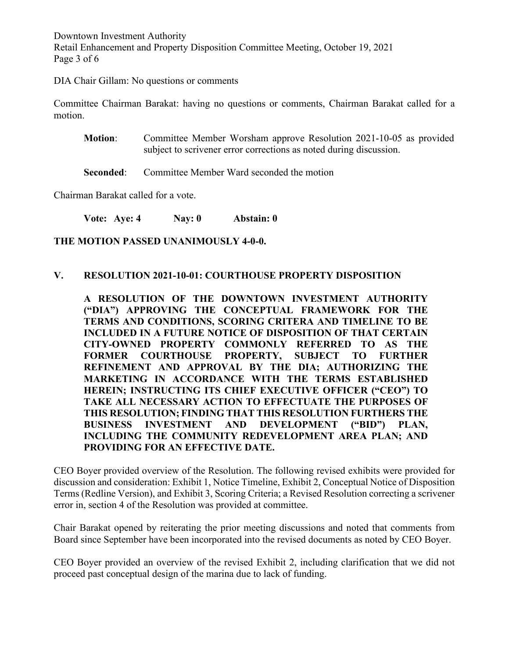Downtown Investment Authority Retail Enhancement and Property Disposition Committee Meeting, October 19, 2021 Page 3 of 6

DIA Chair Gillam: No questions or comments

Committee Chairman Barakat: having no questions or comments, Chairman Barakat called for a motion.

**Motion**: Committee Member Worsham approve Resolution 2021-10-05 as provided subject to scrivener error corrections as noted during discussion.

**Seconded:** Committee Member Ward seconded the motion

Chairman Barakat called for a vote.

**Vote: Aye: 4 Nay: 0 Abstain: 0**

**THE MOTION PASSED UNANIMOUSLY 4-0-0.**

#### **V. RESOLUTION 2021-10-01: COURTHOUSE PROPERTY DISPOSITION**

**A RESOLUTION OF THE DOWNTOWN INVESTMENT AUTHORITY ("DIA") APPROVING THE CONCEPTUAL FRAMEWORK FOR THE TERMS AND CONDITIONS, SCORING CRITERA AND TIMELINE TO BE INCLUDED IN A FUTURE NOTICE OF DISPOSITION OF THAT CERTAIN CITY-OWNED PROPERTY COMMONLY REFERRED TO AS THE FORMER COURTHOUSE PROPERTY, SUBJECT TO FURTHER REFINEMENT AND APPROVAL BY THE DIA; AUTHORIZING THE MARKETING IN ACCORDANCE WITH THE TERMS ESTABLISHED HEREIN; INSTRUCTING ITS CHIEF EXECUTIVE OFFICER ("CEO") TO TAKE ALL NECESSARY ACTION TO EFFECTUATE THE PURPOSES OF THIS RESOLUTION; FINDING THAT THIS RESOLUTION FURTHERS THE BUSINESS INVESTMENT AND DEVELOPMENT ("BID") PLAN, INCLUDING THE COMMUNITY REDEVELOPMENT AREA PLAN; AND PROVIDING FOR AN EFFECTIVE DATE.** 

CEO Boyer provided overview of the Resolution. The following revised exhibits were provided for discussion and consideration: Exhibit 1, Notice Timeline, Exhibit 2, Conceptual Notice of Disposition Terms (Redline Version), and Exhibit 3, Scoring Criteria; a Revised Resolution correcting a scrivener error in, section 4 of the Resolution was provided at committee.

Chair Barakat opened by reiterating the prior meeting discussions and noted that comments from Board since September have been incorporated into the revised documents as noted by CEO Boyer.

CEO Boyer provided an overview of the revised Exhibit 2, including clarification that we did not proceed past conceptual design of the marina due to lack of funding.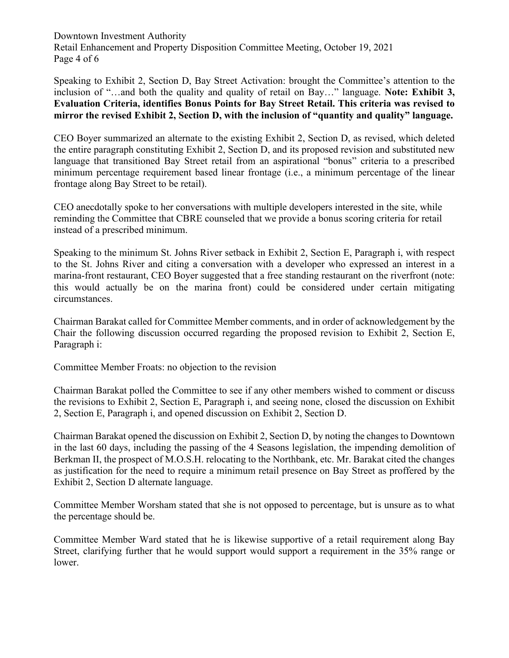Downtown Investment Authority Retail Enhancement and Property Disposition Committee Meeting, October 19, 2021 Page 4 of 6

Speaking to Exhibit 2, Section D, Bay Street Activation: brought the Committee's attention to the inclusion of "…and both the quality and quality of retail on Bay…" language. **Note: Exhibit 3, Evaluation Criteria, identifies Bonus Points for Bay Street Retail. This criteria was revised to mirror the revised Exhibit 2, Section D, with the inclusion of "quantity and quality" language.**

CEO Boyer summarized an alternate to the existing Exhibit 2, Section D, as revised, which deleted the entire paragraph constituting Exhibit 2, Section D, and its proposed revision and substituted new language that transitioned Bay Street retail from an aspirational "bonus" criteria to a prescribed minimum percentage requirement based linear frontage (i.e., a minimum percentage of the linear frontage along Bay Street to be retail).

CEO anecdotally spoke to her conversations with multiple developers interested in the site, while reminding the Committee that CBRE counseled that we provide a bonus scoring criteria for retail instead of a prescribed minimum.

Speaking to the minimum St. Johns River setback in Exhibit 2, Section E, Paragraph i, with respect to the St. Johns River and citing a conversation with a developer who expressed an interest in a marina-front restaurant, CEO Boyer suggested that a free standing restaurant on the riverfront (note: this would actually be on the marina front) could be considered under certain mitigating circumstances.

Chairman Barakat called for Committee Member comments, and in order of acknowledgement by the Chair the following discussion occurred regarding the proposed revision to Exhibit 2, Section E, Paragraph i:

Committee Member Froats: no objection to the revision

Chairman Barakat polled the Committee to see if any other members wished to comment or discuss the revisions to Exhibit 2, Section E, Paragraph i, and seeing none, closed the discussion on Exhibit 2, Section E, Paragraph i, and opened discussion on Exhibit 2, Section D.

Chairman Barakat opened the discussion on Exhibit 2, Section D, by noting the changes to Downtown in the last 60 days, including the passing of the 4 Seasons legislation, the impending demolition of Berkman II, the prospect of M.O.S.H. relocating to the Northbank, etc. Mr. Barakat cited the changes as justification for the need to require a minimum retail presence on Bay Street as proffered by the Exhibit 2, Section D alternate language.

Committee Member Worsham stated that she is not opposed to percentage, but is unsure as to what the percentage should be.

Committee Member Ward stated that he is likewise supportive of a retail requirement along Bay Street, clarifying further that he would support would support a requirement in the 35% range or lower.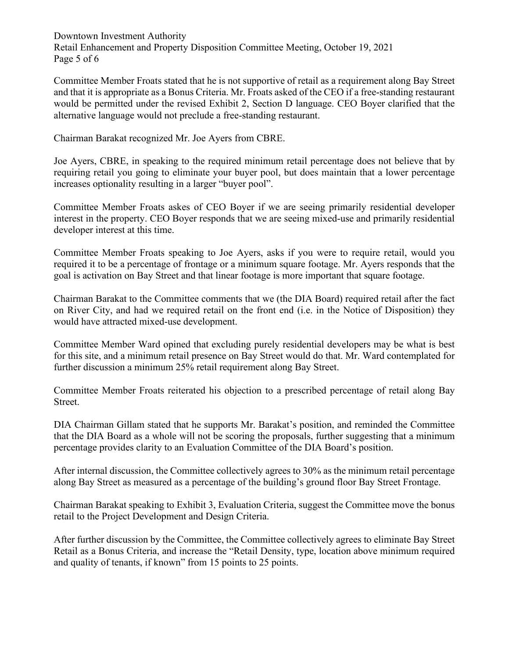Downtown Investment Authority Retail Enhancement and Property Disposition Committee Meeting, October 19, 2021 Page 5 of 6

Committee Member Froats stated that he is not supportive of retail as a requirement along Bay Street and that it is appropriate as a Bonus Criteria. Mr. Froats asked of the CEO if a free-standing restaurant would be permitted under the revised Exhibit 2, Section D language. CEO Boyer clarified that the alternative language would not preclude a free-standing restaurant.

Chairman Barakat recognized Mr. Joe Ayers from CBRE.

Joe Ayers, CBRE, in speaking to the required minimum retail percentage does not believe that by requiring retail you going to eliminate your buyer pool, but does maintain that a lower percentage increases optionality resulting in a larger "buyer pool".

Committee Member Froats askes of CEO Boyer if we are seeing primarily residential developer interest in the property. CEO Boyer responds that we are seeing mixed-use and primarily residential developer interest at this time.

Committee Member Froats speaking to Joe Ayers, asks if you were to require retail, would you required it to be a percentage of frontage or a minimum square footage. Mr. Ayers responds that the goal is activation on Bay Street and that linear footage is more important that square footage.

Chairman Barakat to the Committee comments that we (the DIA Board) required retail after the fact on River City, and had we required retail on the front end (i.e. in the Notice of Disposition) they would have attracted mixed-use development.

Committee Member Ward opined that excluding purely residential developers may be what is best for this site, and a minimum retail presence on Bay Street would do that. Mr. Ward contemplated for further discussion a minimum 25% retail requirement along Bay Street.

Committee Member Froats reiterated his objection to a prescribed percentage of retail along Bay Street.

DIA Chairman Gillam stated that he supports Mr. Barakat's position, and reminded the Committee that the DIA Board as a whole will not be scoring the proposals, further suggesting that a minimum percentage provides clarity to an Evaluation Committee of the DIA Board's position.

After internal discussion, the Committee collectively agrees to 30% as the minimum retail percentage along Bay Street as measured as a percentage of the building's ground floor Bay Street Frontage.

Chairman Barakat speaking to Exhibit 3, Evaluation Criteria, suggest the Committee move the bonus retail to the Project Development and Design Criteria.

After further discussion by the Committee, the Committee collectively agrees to eliminate Bay Street Retail as a Bonus Criteria, and increase the "Retail Density, type, location above minimum required and quality of tenants, if known" from 15 points to 25 points.